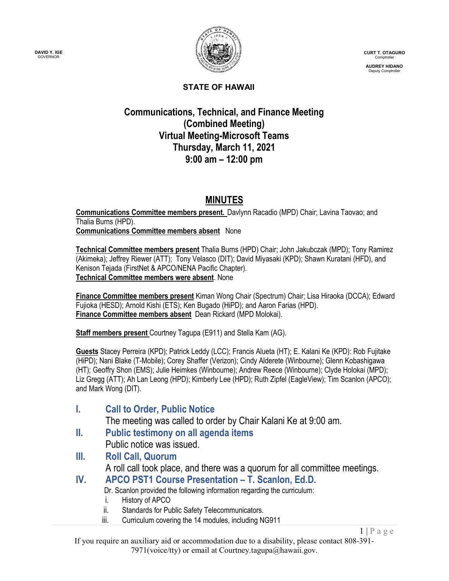**DAVID Y. IGE** GOVERNOR



**CURT T. OTAGURO** Comptroller

**AUDREY HIDANO** Deputy Comptroller

 $1 | P \text{ a } g \text{ e}$ 

#### **STATE OF HAWAII**

#### **Communications, Technical, and Finance Meeting (Combined Meeting) Virtual Meeting-Microsoft Teams Thursday, March 11, 2021 9:00 am – 12:00 pm**

## **MINUTES**

**Communications Committee members present.** Davlynn Racadio (MPD) Chair; Lavina Taovao; and Thalia Burns (HPD). **Communications Committee members absent** None

**Technical Committee members present** Thalia Burns (HPD) Chair; John Jakubczak (MPD); Tony Ramirez (Akimeka); Jeffrey Riewer (ATT); Tony Velasco (DIT); David Miyasaki (KPD); Shawn Kuratani (HFD), and Kenison Tejada (FirstNet & APCO/NENA Pacific Chapter). **Technical Committee members were absent**. None

**Finance Committee members present** Kiman Wong Chair (Spectrum) Chair; Lisa Hiraoka (DCCA); Edward Fujioka (HESD); Arnold Kishi (ETS); Ken Bugado (HiPD); and Aaron Farias (HPD). **Finance Committee members absent** Dean Rickard (MPD Molokai).

**Staff members present** Courtney Tagupa (E911) and Stella Kam (AG).

**Guests** Stacey Perreira (KPD); Patrick Leddy (LCC); Francis Alueta (HT); E. Kalani Ke (KPD): Rob Fujitake (HiPD); Nani Blake (T-Mobile); Corey Shaffer (Verizon); Cindy Alderete (Winbourne); Glenn Kobashigawa (HT); Geoffry Shon (EMS); Julie Heimkes (Winbourne); Andrew Reece (Winbourne); Clyde Holokai (MPD); Liz Gregg (ATT); Ah Lan Leong (HPD); Kimberly Lee (HPD); Ruth Zipfel (EagleView); Tim Scanlon (APCO); and Mark Wong (DIT).

- **I. Call to Order, Public Notice** The meeting was called to order by Chair Kalani Ke at 9:00 am. **II. Public testimony on all agenda items**
	- Public notice was issued.
- **III. Roll Call, Quorum** A roll call took place, and there was a quorum for all committee meetings.
- **IV. APCO PST1 Course Presentation – T. Scanlon, Ed.D.**

Dr. Scanlon provided the following information regarding the curriculum:

- i. History of APCO
- ii. Standards for Public Safety Telecommunicators.
- iii. Curriculum covering the 14 modules, including NG911

If you require an auxiliary aid or accommodation due to a disability, please contact 808-391- 7971(voice/tty) or email at Courtney.tagupa@hawaii.gov.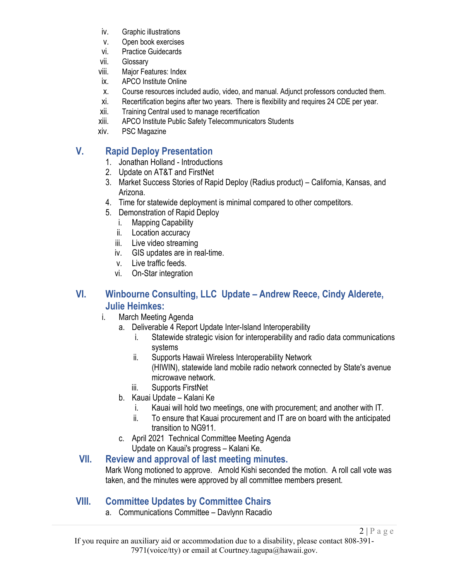- iv. Graphic illustrations
- v. Open book exercises
- vi. Practice Guidecards
- vii. Glossary
- viii. Major Features: Index
- ix. APCO Institute Online
- x. Course resources included audio, video, and manual. Adjunct professors conducted them.
- xi. Recertification begins after two years. There is flexibility and requires 24 CDE per year.
- xii. Training Central used to manage recertification
- xiii. APCO Institute Public Safety Telecommunicators Students
- xiv. PSC Magazine

## **V. Rapid Deploy Presentation**

- 1. Jonathan Holland Introductions
- 2. Update on AT&T and FirstNet
- 3. Market Success Stories of Rapid Deploy (Radius product) California, Kansas, and Arizona.
- 4. Time for statewide deployment is minimal compared to other competitors.
- 5. Demonstration of Rapid Deploy
	- i. Mapping Capability
	- ii. Location accuracy
	- iii. Live video streaming
	- iv. GIS updates are in real-time.
	- v. Live traffic feeds.
	- vi. On-Star integration

#### **VI. Winbourne Consulting, LLC Update – Andrew Reece, Cindy Alderete, Julie Heimkes:**

- i. March Meeting Agenda
	- a. Deliverable 4 Report Update Inter-Island Interoperability
		- i. Statewide strategic vision for interoperability and radio data communications systems
		- ii. Supports Hawaii Wireless Interoperability Network (HIWIN), statewide land mobile radio network connected by State's avenue microwave network.
		- iii. Supports FirstNet
	- b. Kauai Update Kalani Ke
		- i. Kauai will hold two meetings, one with procurement; and another with IT.
		- ii. To ensure that Kauai procurement and IT are on board with the anticipated transition to NG911.
	- c. April 2021 Technical Committee Meeting Agenda Update on Kauai's progress – Kalani Ke.

#### **VII. Review and approval of last meeting minutes.**

Mark Wong motioned to approve. Arnold Kishi seconded the motion. A roll call vote was taken, and the minutes were approved by all committee members present.

## **VIII. Committee Updates by Committee Chairs**

a. Communications Committee – Davlynn Racadio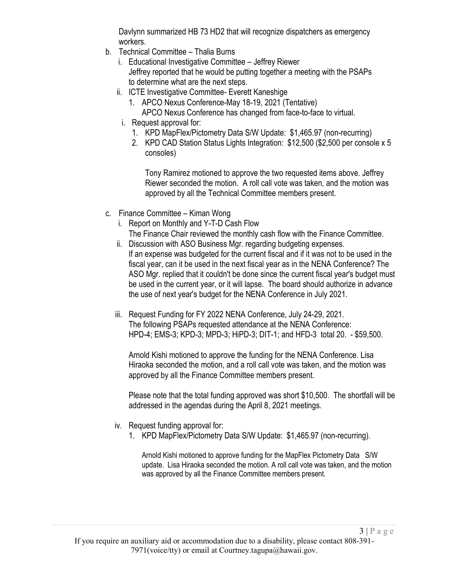Davlynn summarized HB 73 HD2 that will recognize dispatchers as emergency workers.

- b. Technical Committee Thalia Burns
	- i. Educational Investigative Committee Jeffrey Riewer Jeffrey reported that he would be putting together a meeting with the PSAPs to determine what are the next steps.
	- ii. ICTE Investigative Committee- Everett Kaneshige
		- 1. APCO Nexus Conference-May 18-19, 2021 (Tentative) APCO Nexus Conference has changed from face-to-face to virtual.
	- i. Request approval for:
		- 1. KPD MapFlex/Pictometry Data S/W Update: \$1,465.97 (non-recurring)
		- 2. KPD CAD Station Status Lights Integration: \$12,500 (\$2,500 per console x 5 consoles)

Tony Ramirez motioned to approve the two requested items above. Jeffrey Riewer seconded the motion. A roll call vote was taken, and the motion was approved by all the Technical Committee members present.

- c. Finance Committee Kiman Wong
	- i. Report on Monthly and Y-T-D Cash Flow
	- The Finance Chair reviewed the monthly cash flow with the Finance Committee. ii. Discussion with ASO Business Mgr. regarding budgeting expenses.
	- If an expense was budgeted for the current fiscal and if it was not to be used in the fiscal year, can it be used in the next fiscal year as in the NENA Conference? The ASO Mgr. replied that it couldn't be done since the current fiscal year's budget must be used in the current year, or it will lapse. The board should authorize in advance the use of next year's budget for the NENA Conference in July 2021.
	- iii. Request Funding for FY 2022 NENA Conference, July 24-29, 2021. The following PSAPs requested attendance at the NENA Conference: HPD-4; EMS-3; KPD-3; MPD-3; HiPD-3; DIT-1; and HFD-3 total 20. - \$59,500.

Arnold Kishi motioned to approve the funding for the NENA Conference. Lisa Hiraoka seconded the motion, and a roll call vote was taken, and the motion was approved by all the Finance Committee members present.

Please note that the total funding approved was short \$10,500. The shortfall will be addressed in the agendas during the April 8, 2021 meetings.

- iv. Request funding approval for:
	- 1. KPD MapFlex/Pictometry Data S/W Update: \$1,465.97 (non-recurring).

Arnold Kishi motioned to approve funding for the MapFlex Pictometry Data S/W update. Lisa Hiraoka seconded the motion. A roll call vote was taken, and the motion was approved by all the Finance Committee members present.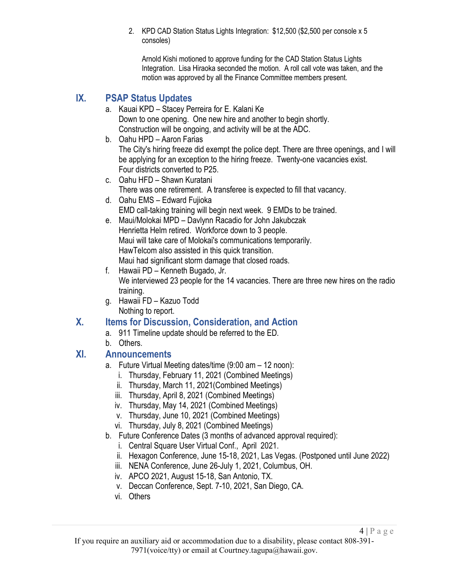2. KPD CAD Station Status Lights Integration: \$12,500 (\$2,500 per console x 5 consoles)

Arnold Kishi motioned to approve funding for the CAD Station Status Lights Integration. Lisa Hiraoka seconded the motion. A roll call vote was taken, and the motion was approved by all the Finance Committee members present.

# **IX. PSAP Status Updates**

- a. Kauai KPD Stacey Perreira for E. Kalani Ke Down to one opening. One new hire and another to begin shortly. Construction will be ongoing, and activity will be at the ADC.
- b. Oahu HPD Aaron Farias The City's hiring freeze did exempt the police dept. There are three openings, and I will be applying for an exception to the hiring freeze. Twenty-one vacancies exist. Four districts converted to P25.
- c. Oahu HFD Shawn Kuratani There was one retirement. A transferee is expected to fill that vacancy.
- d. Oahu EMS Edward Fujioka EMD call-taking training will begin next week. 9 EMDs to be trained.
- e. Maui/Molokai MPD Davlynn Racadio for John Jakubczak Henrietta Helm retired. Workforce down to 3 people. Maui will take care of Molokai's communications temporarily. HawTelcom also assisted in this quick transition. Maui had significant storm damage that closed roads.
- f. Hawaii PD Kenneth Bugado, Jr. We interviewed 23 people for the 14 vacancies. There are three new hires on the radio training.
- g. Hawaii FD Kazuo Todd Nothing to report.

## **X. Items for Discussion, Consideration, and Action**

- a. 911 Timeline update should be referred to the ED.
- b. Others.

## **XI. Announcements**

- a. Future Virtual Meeting dates/time (9:00 am 12 noon):
	- i. Thursday, February 11, 2021 (Combined Meetings)
	- ii. Thursday, March 11, 2021(Combined Meetings)
	- iii. Thursday, April 8, 2021 (Combined Meetings)
	- iv. Thursday, May 14, 2021 (Combined Meetings)
	- v. Thursday, June 10, 2021 (Combined Meetings)
	- vi. Thursday, July 8, 2021 (Combined Meetings)
- b. Future Conference Dates (3 months of advanced approval required):
	- i. Central Square User Virtual Conf., April 2021.
	- ii. Hexagon Conference, June 15-18, 2021, Las Vegas. (Postponed until June 2022)
	- iii. NENA Conference, June 26-July 1, 2021, Columbus, OH.
	- iv. APCO 2021, August 15-18, San Antonio, TX.
	- v. Deccan Conference, Sept. 7-10, 2021, San Diego, CA.
	- vi. Others